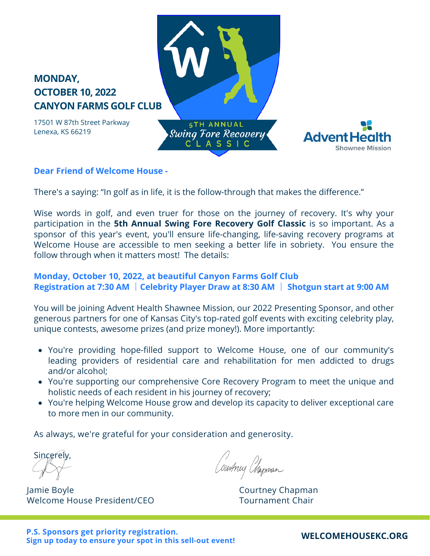# **MONDAY, OCTOBER 10, 2022 CANYON FARMS GOLF CLUB**

17501 W 87th Street Parkway Lenexa, KS 66219

**5TH ANNUAL Swing Fore Recovery** CLASSIC



## **Dear Friend of Welcome House -**

There's a saying: "In golf as in life, it is the follow-through that makes the difference."

Wise words in golf, and even truer for those on the journey of recovery. It's why your participation in the **5th Annual Swing Fore Recovery Golf Classic** is so important. As a sponsor of this year's event, you'll ensure life-changing, life-saving recovery programs at Welcome House are accessible to men seeking a better life in sobriety. You ensure the follow through when it matters most! The details:

## **Monday, October 10, 2022, at beautiful Canyon Farms Golf Club Registration at 7:30 AM** │**Celebrity Player Draw at 8:30 AM** │ **Shotgun start at 9:00 AM**

You will be joining Advent Health Shawnee Mission, our 2022 Presenting Sponsor, and other generous partners for one of Kansas City's top-rated golf events with exciting celebrity play, unique contests, awesome prizes (and prize money!). More importantly:

- You're providing hope-filled support to Welcome House, one of our community's leading providers of residential care and rehabilitation for men addicted to drugs and/or alcohol;
- You're supporting our comprehensive Core Recovery Program to meet the unique and holistic needs of each resident in his journey of recovery;
- You're helping Welcome House grow and develop its capacity to deliver exceptional care to more men in our community.

As always, we're grateful for your consideration and generosity.

Sincerely,

Jamie Boyle **Courtney Chapman** Welcome House President/CEO The Cournament Chair

Surmuj Phapman

## **[WELCOMEHOUSEKC.ORG](http://www.welcomehousekc.org/)**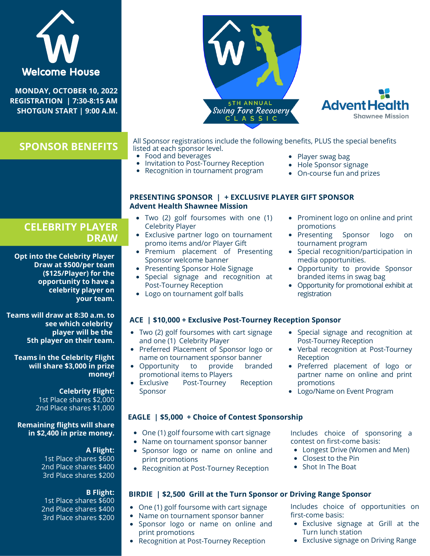| <b>Welcome House</b><br>MONDAY, OCTOBER 10, 2022<br>REGISTRATION   7:30-8:15 AM<br><b>SHOTGUN START   9:00 A.M.</b>                                                                                                                                | <b>5TH ANNUAL</b><br>Swing Fore Recovery                                                                                                                                                                                                                                                                                                                     | <b>Advent Health</b><br><b>Shawnee Mission</b>                                                                                                                                                                                            |  |
|----------------------------------------------------------------------------------------------------------------------------------------------------------------------------------------------------------------------------------------------------|--------------------------------------------------------------------------------------------------------------------------------------------------------------------------------------------------------------------------------------------------------------------------------------------------------------------------------------------------------------|-------------------------------------------------------------------------------------------------------------------------------------------------------------------------------------------------------------------------------------------|--|
| <b>SPONSOR BENEFITS</b>                                                                                                                                                                                                                            | All Sponsor registrations include the following benefits, PLUS the special benefits<br>listed at each sponsor level.<br>• Food and beverages<br>• Invitation to Post-Tourney Reception<br>• Recognition in tournament program                                                                                                                                | • Player swag bag<br>Hole Sponsor signage<br>On-course fun and prizes                                                                                                                                                                     |  |
|                                                                                                                                                                                                                                                    | PRESENTING SPONSOR   + EXCLUSIVE PLAYER GIFT SPONSOR<br><b>Advent Health Shawnee Mission</b>                                                                                                                                                                                                                                                                 |                                                                                                                                                                                                                                           |  |
| <b>CELEBRITY PLAYER</b><br><b>DRAW</b>                                                                                                                                                                                                             | • Two (2) golf foursomes with one (1)<br><b>Celebrity Player</b><br>• Exclusive partner logo on tournament<br>promo items and/or Player Gift                                                                                                                                                                                                                 | • Prominent logo on online and print<br>promotions<br>• Presenting Sponsor<br>logo<br>on<br>tournament program                                                                                                                            |  |
| <b>Opt into the Celebrity Player</b><br>Draw at \$500/per team<br>(\$125/Player) for the<br>opportunity to have a<br>celebrity player on<br>your team.                                                                                             | • Premium placement of Presenting<br>Sponsor welcome banner<br>• Presenting Sponsor Hole Signage<br>· Special signage and recognition at<br>Post-Tourney Reception<br>• Logo on tournament golf balls                                                                                                                                                        | • Special recognition/participation in<br>media opportunities.<br>• Opportunity to provide Sponsor<br>branded items in swag bag<br>• Opportunity for promotional exhibit at<br>registration                                               |  |
| Teams will draw at 8:30 a.m. to<br>see which celebrity<br>player will be the<br>5th player on their team.<br><b>Teams in the Celebrity Flight</b><br>will share \$3,000 in prize<br>money!<br><b>Celebrity Flight:</b><br>1st Place shares \$2,000 | ACE   \$10,000 + Exclusive Post-Tourney Reception Sponsor<br>• Two (2) golf foursomes with cart signage<br>and one (1) Celebrity Player<br>• Preferred Placement of Sponsor logo or<br>name on tournament sponsor banner<br>• Opportunity<br>provide<br>branded<br>to<br>promotional items to Players<br>Post-Tourney<br>Reception<br>• Exclusive<br>Sponsor | • Special signage and recognition at<br>Post-Tourney Reception<br>• Verbal recognition at Post-Tourney<br>Reception<br>· Preferred placement of logo or<br>partner name on online and print<br>promotions<br>• Logo/Name on Event Program |  |
| 2nd Place shares \$1,000<br><b>Remaining flights will share</b>                                                                                                                                                                                    | <b>EAGLE</b>   \$5,000 + Choice of Contest Sponsorship                                                                                                                                                                                                                                                                                                       |                                                                                                                                                                                                                                           |  |
| in \$2,400 in prize money.<br>A Flight:<br>1st Place shares \$600<br>2nd Place shares \$400<br>3rd Place shares \$200                                                                                                                              | • One (1) golf foursome with cart signage<br>Name on tournament sponsor banner<br>• Sponsor logo or name on online and<br>print promotions<br>• Recognition at Post-Tourney Reception                                                                                                                                                                        | Includes choice of sponsoring a<br>contest on first-come basis:<br>• Longest Drive (Women and Men)<br>• Closest to the Pin<br>• Shot In The Boat                                                                                          |  |
| <b>B</b> Flight:                                                                                                                                                                                                                                   | BIRDIE   \$2,500 Grill at the Turn Sponsor or Driving Range Sponsor                                                                                                                                                                                                                                                                                          |                                                                                                                                                                                                                                           |  |
| 1st Place shares \$600<br>2nd Place shares \$400<br>3rd Place shares \$200                                                                                                                                                                         | • One (1) golf foursome with cart signage<br>• Name on tournament sponsor banner<br>• Sponsor logo or name on online and<br>print promotions<br>• Recognition at Post-Tourney Reception                                                                                                                                                                      | Includes choice of opportunities on<br>first-come basis:<br>• Exclusive signage at Grill at the<br>Turn lunch station<br>• Exclusive signage on Driving Range                                                                             |  |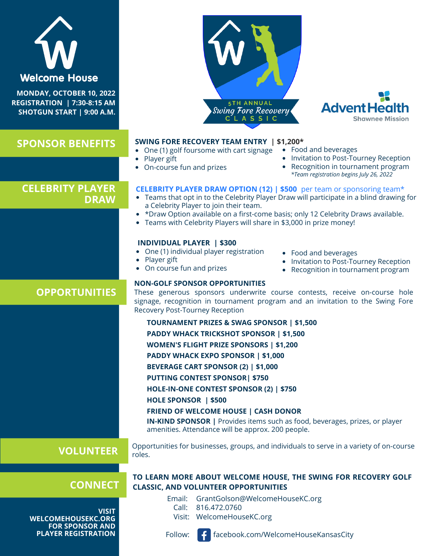

**MONDAY, OCTOBER 10, 2022 REGISTRATION | 7:30-8:15 AM SHOTGUN START | 9:00 A.M.**

**SPONSOR BENEFITS**





#### **SWING FORE RECOVERY TEAM ENTRY | \$1,200\***

- One (1) golf foursome with cart signage
- Player gift
- On-course fun and prizes
- Food and beverages
- Invitation to Post-Tourney Reception
- Recognition in tournament program *\*Team registration begins July 26, 2022*

# **DRAW**

**OPPORTUNITIES**

- **CELEBRITY PLAYER** CELEBRITY PLAYER DRAW OPTION (12) | \$500 per team or sponsoring team\*
	- Teams that opt in to the Celebrity Player Draw will participate in a blind drawing for a Celebrity Player to join their team.
	- \* \*Draw Option available on a first-come basis; only 12 Celebrity Draws available.
	- Teams with Celebrity Players will share in \$3,000 in prize money!

#### **INDIVIDUAL PLAYER | \$300**

- One (1) individual player registration
- Player gift
- On course fun and prizes
- Food and beverages
- Invitation to Post-Tourney Reception
- Recognition in tournament program

## **NON-GOLF SPONSOR OPPORTUNITIES**

These generous sponsors underwrite course contests, receive on-course hole signage, recognition in tournament program and an invitation to the Swing Fore Recovery Post-Tourney Reception

**TOURNAMENT PRIZES & SWAG SPONSOR | \$1,500 PADDY WHACK TRICKSHOT SPONSOR | \$1,500 WOMEN'S FLIGHT PRIZE SPONSORS | \$1,200 PADDY WHACK EXPO SPONSOR | \$1,000 BEVERAGE CART SPONSOR (2) | \$1,000 PUTTING CONTEST SPONSOR| \$750 HOLE-IN-ONE CONTEST SPONSOR (2) | \$750 HOLE SPONSOR | \$500 FRIEND OF WELCOME HOUSE | CASH DONOR IN-KIND SPONSOR |** Provides items such as food, beverages, prizes, or player amenities. Attendance will be approx. 200 people.

# **VOLUNTEER**

Opportunities for businesses, groups, and individuals to serve in a variety of on-course roles.

**CONNECT**

**[VISIT](https://www.welcomehousekc.org/donations/swing-fore-recovery-team-and-sponsorship-payment-2021/) [WELCOMEHOUSEKC.ORG](https://www.welcomehousekc.org/donations/swing-fore-recovery-team-and-sponsorship-payment-2021/) FOR [SPONSOR](https://www.welcomehousekc.org/donations/swing-fore-recovery-team-and-sponsorship-payment-2021/) AND PLAYER [REGISTRATION](https://www.welcomehousekc.org/donations/swing-fore-recovery-team-and-sponsorship-payment-2021/)**

## **TO LEARN MORE ABOUT WELCOME HOUSE, THE SWING FOR RECOVERY GOLF CLASSIC, AND VOLUNTEER OPPORTUNITIES**

- Email: GrantGolson@WelcomeHouseKC.org
	- 816.472.0760 Call: Visit: WelcomeHouseKC.org
		-

Follow:

facebook.com/WelcomeHouseKansasCity